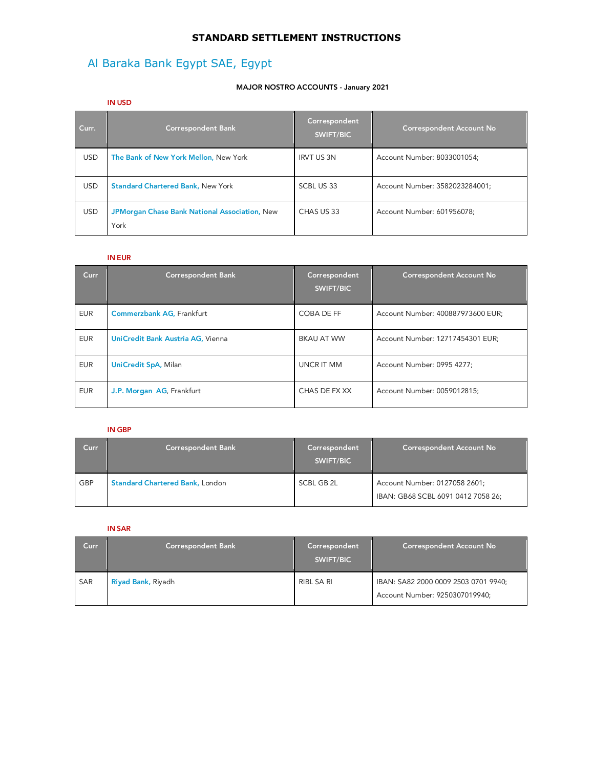## **STANDARD SETTLEMENT INSTRUCTIONS**

# Al Baraka Bank Egypt SAE, Egypt

#### **MAJOR NOSTRO ACCOUNTS - January 2021**

|            | <b>IN USD</b>                                                |                                   |                                 |
|------------|--------------------------------------------------------------|-----------------------------------|---------------------------------|
| Curr.      | <b>Correspondent Bank</b>                                    | Correspondent<br><b>SWIFT/BIC</b> | <b>Correspondent Account No</b> |
| <b>USD</b> | The Bank of New York Mellon, New York                        | <b>IRVT US 3N</b>                 | Account Number: 8033001054;     |
| <b>USD</b> | <b>Standard Chartered Bank, New York</b>                     | SCBL US 33                        | Account Number: 3582023284001;  |
| <b>USD</b> | <b>JPMorgan Chase Bank National Association, New</b><br>York | CHAS US 33                        | Account Number: 601956078;      |

#### **IN EUR**

| <b>Curr</b> | <b>Correspondent Bank</b>         | Correspondent<br><b>SWIFT/BIC</b> | <b>Correspondent Account No</b>   |
|-------------|-----------------------------------|-----------------------------------|-----------------------------------|
| <b>EUR</b>  | <b>Commerzbank AG, Frankfurt</b>  | COBA DE FF                        | Account Number: 400887973600 EUR; |
| <b>EUR</b>  | UniCredit Bank Austria AG, Vienna | <b>BKAU AT WW</b>                 | Account Number: 12717454301 EUR;  |
| <b>EUR</b>  | <b>UniCredit SpA, Milan</b>       | <b>UNCR IT MM</b>                 | Account Number: 0995 4277;        |
| <b>EUR</b>  | J.P. Morgan AG, Frankfurt         | CHAS DE FX XX                     | Account Number: 0059012815;       |

#### **IN GBP**

| Curr       | Correspondent Bank                     | Correspondent<br>SWIFT/BIC | <b>Correspondent Account No</b>                                     |
|------------|----------------------------------------|----------------------------|---------------------------------------------------------------------|
| <b>GBP</b> | <b>Standard Chartered Bank, London</b> | SCBL GB 2L                 | Account Number: 0127058 2601;<br>IBAN: GB68 SCBL 6091 0412 7058 26; |

### **IN SAR**

| Curr | <b>Correspondent Bank</b> | Correspondent<br>SWIFT/BIC | Correspondent Account No                                               |
|------|---------------------------|----------------------------|------------------------------------------------------------------------|
| SAR  | Riyad Bank, Riyadh        | RIBL SA RI                 | IBAN: SA82 2000 0009 2503 0701 9940;<br>Account Number: 9250307019940; |